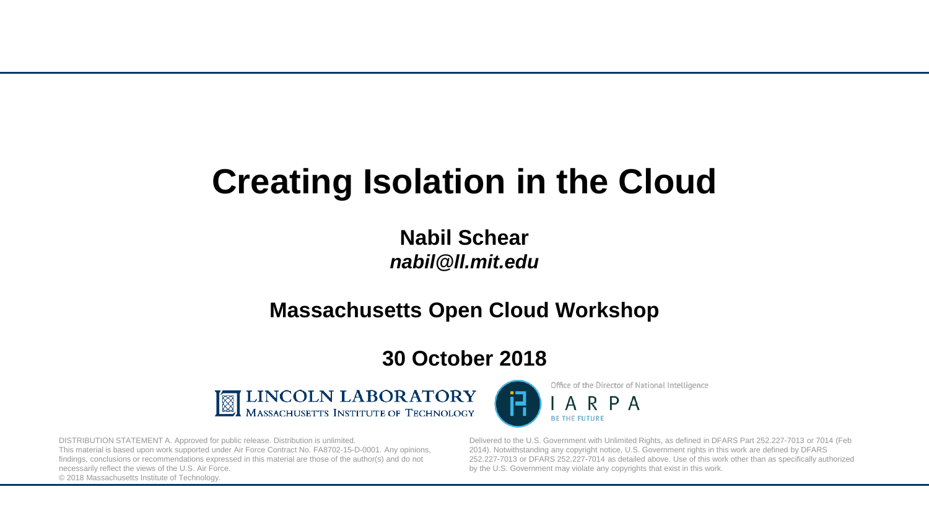# **Creating Isolation in the Cloud**

**Nabil Schear** *nabil@ll.mit.edu*

## **Massachusetts Open Cloud Workshop**

### **30 October 2018**



DISTRIBUTION STATEMENT A. Approved for public release. Distribution is unlimited. This material is based upon work supported under Air Force Contract No. FA8702-15-D-0001. Any opinions, findings, conclusions or recommendations expressed in this material are those of the author(s) and do not necessarily reflect the views of the U.S. Air Force. © 2018 Massachusetts Institute of Technology.



Delivered to the U.S. Government with Unlimited Rights, as defined in DFARS Part 252.227-7013 or 7014 (Feb 2014). Notwithstanding any copyright notice, U.S. Government rights in this work are defined by DFARS 252.227-7013 or DFARS 252.227-7014 as detailed above. Use of this work other than as specifically authorized by the U.S. Government may violate any copyrights that exist in this work.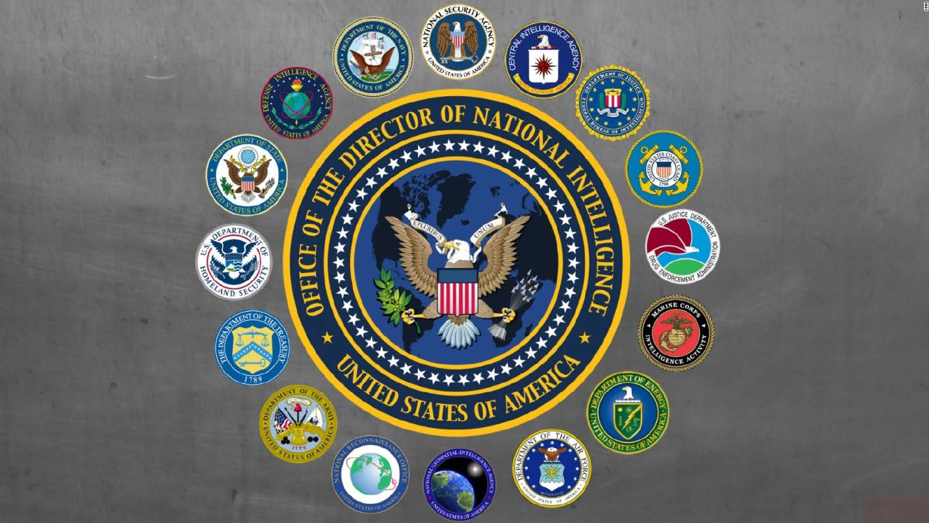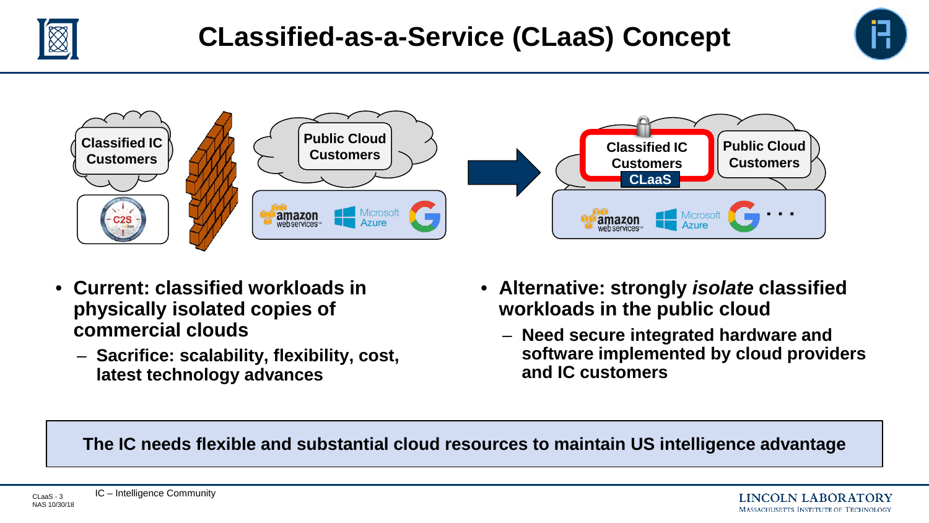





- **Current: classified workloads in physically isolated copies of commercial clouds**
	- **Sacrifice: scalability, flexibility, cost, latest technology advances**
- **Alternative: strongly** *isolate* **classified workloads in the public cloud**
	- **Need secure integrated hardware and software implemented by cloud providers and IC customers**

**The IC needs flexible and substantial cloud resources to maintain US intelligence advantage**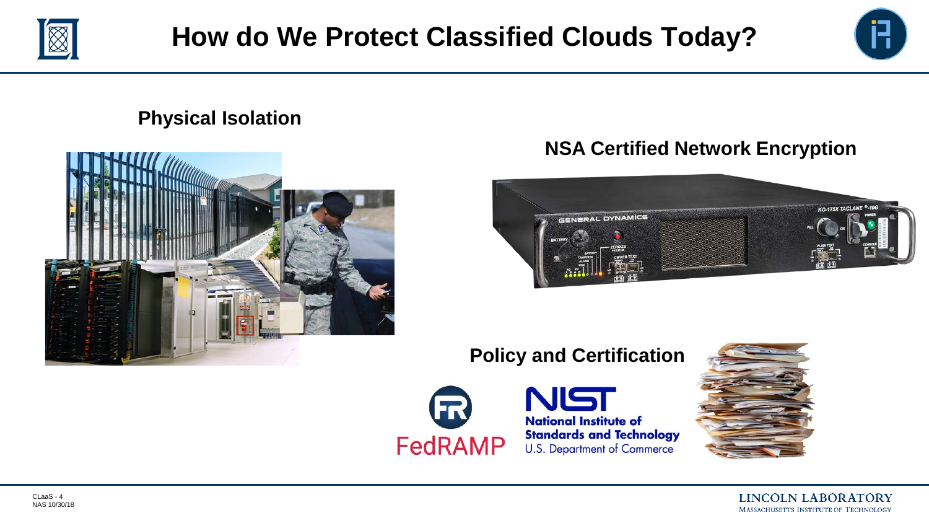



#### **Physical Isolation**



### **NSA Certified Network Encryption**



#### **Policy and Certification**



**National Institute of Standards and Technology U.S. Department of Commerce** 

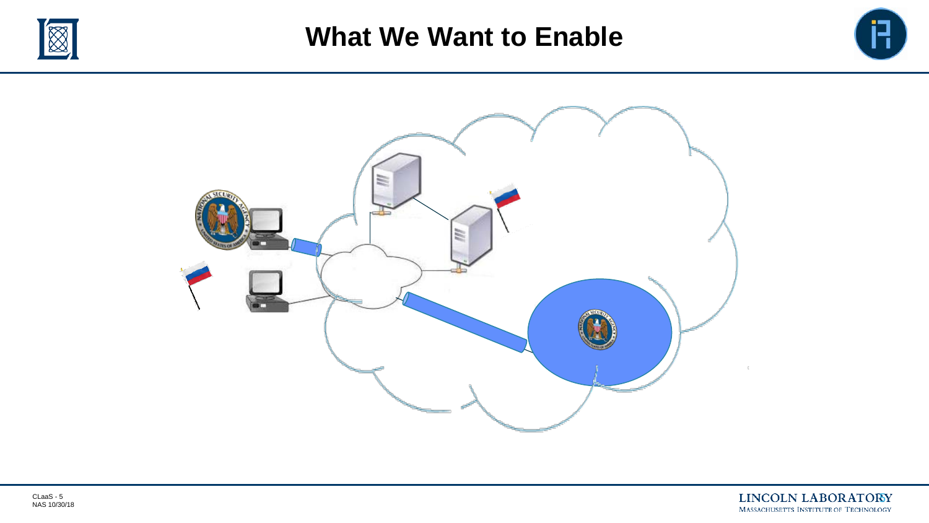

# **What We Want to Enable**



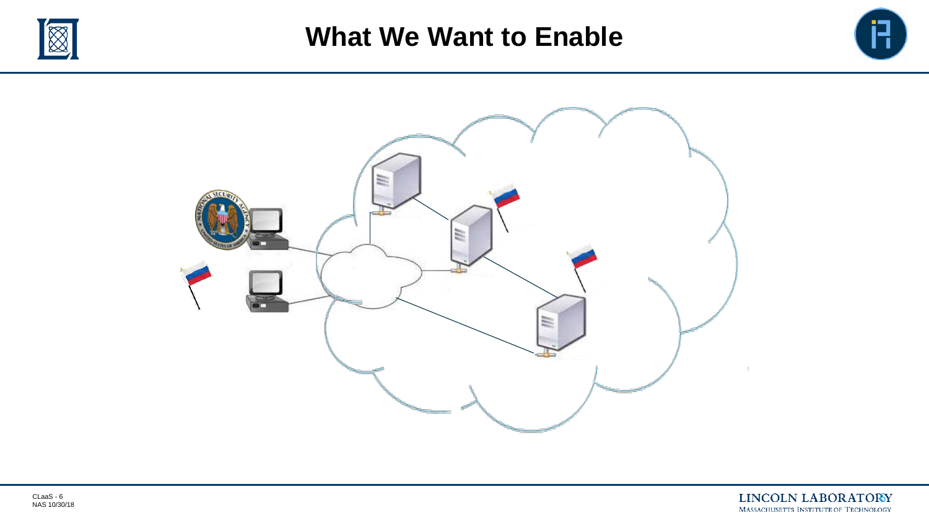

# **What We Want to Enable**



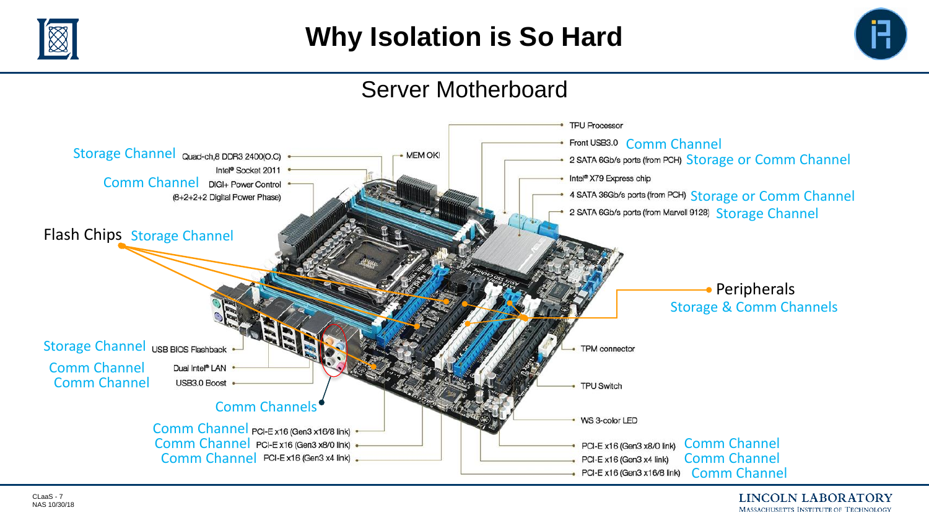



### Server Motherboard

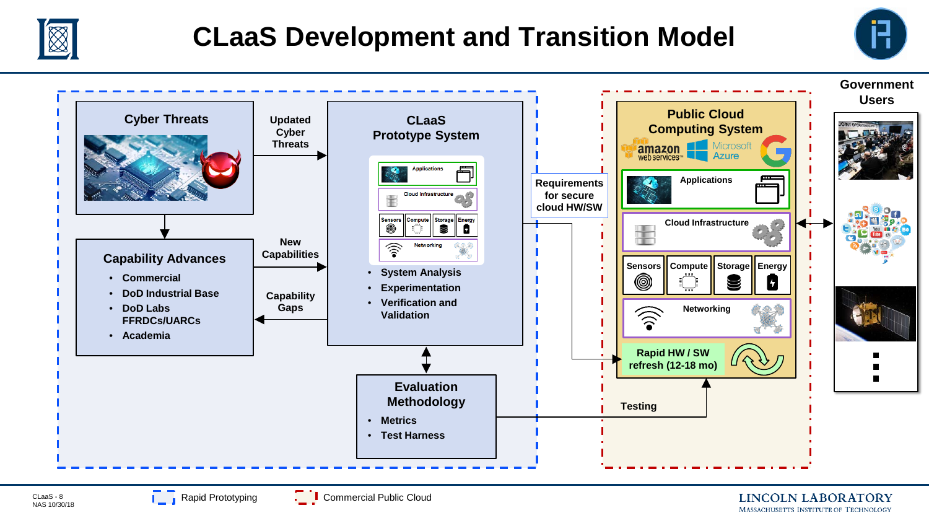

# **CLaaS Development and Transition Model**